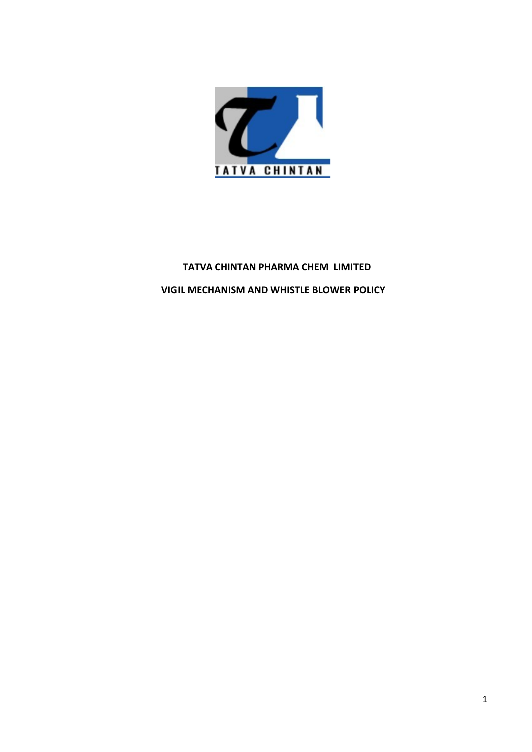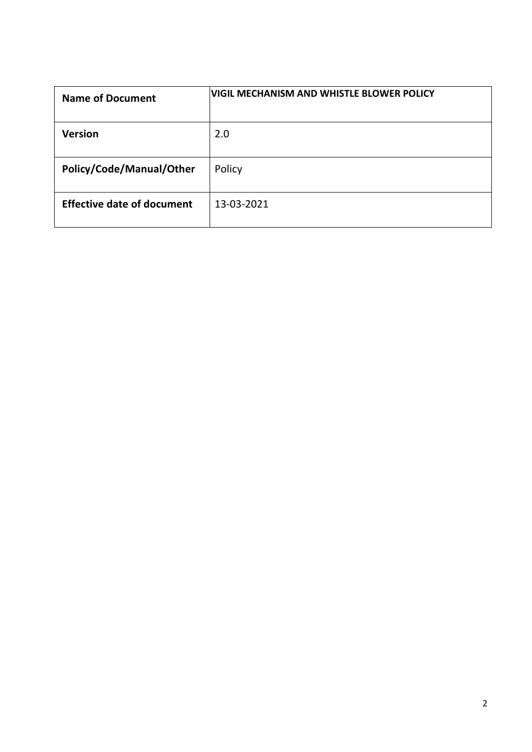| <b>VIGIL MECHANISM AND WHISTLE BLOWER POLICY</b><br><b>Name of Document</b> |
|-----------------------------------------------------------------------------|
| Version<br>2.0                                                              |
| Policy/Code/Manual/Other<br>Policy                                          |
| <b>Effective date of document</b><br>13-03-2021                             |
|                                                                             |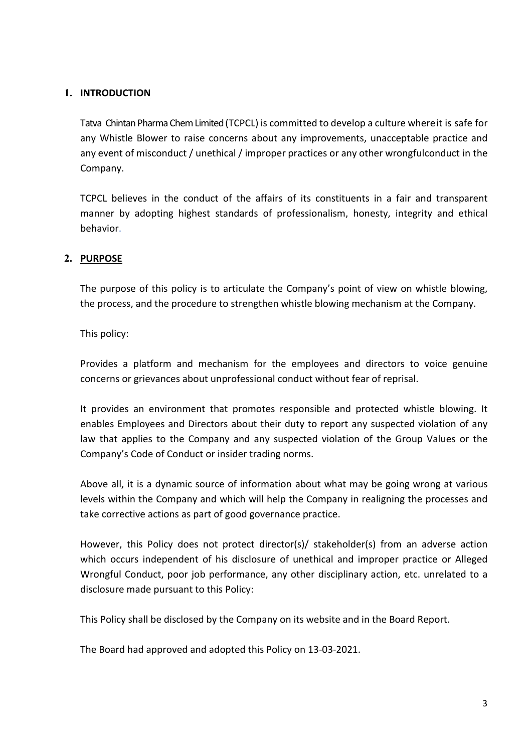# 1. INTRODUCTION

**INTRODUCTION**<br>Tatva Chintan Pharma Chem Limited (TCPCL) is committed to develop a culture whereit is safe for<br>any Whistle Blower to raise concerns about any improvements, unacceptable practice and<br>any event of misconduct **INTRODUCTION**<br>Tatva Chintan Pharma Chem Limited (TCPCL) is committed to develop a culture where it is safe for<br>any Whistle Blower to raise concerns about any improvements, unacceptable practice and<br>any event of misconduct **INTRODUCTION**<br>Tatva Chintan Pharma Chem Limited (TCPCL) is committed to develop a culture where it is safe for<br>any Whistle Blower to raise concerns about any improvements, unacceptable practice and<br>any event of misconduct Company. INTRODUCTION<br>Tatva Chintan Pharma Chem Limited (TCPCL) is committed to develop a culture whereit is safe for<br>any Whistle Blower to raise concerns about any improvements, unacceptable practice and<br>any event of misconduct / **INTRODUCTION**<br>Tatva Chintan Pharma Chem Limited (TCPCL) is committed to develop a culture where it is safe for<br>any Whistle Blower to raise concerns about any improvements, unacceptable practice and<br>any event of misconduct Tatva Chintan Pharma Chem Limited (TCPCL) is committed to develop a culture where it is safe for<br>any Whistle Blower to raise concerns about any improvements, unacceptable practice and<br>any event of misconduct / unethical / **INTRODUCTION**<br>Tatva Chintan Pharma Chem Limited (TCPCL) is committed to develop a culture where it is safe for<br>any Whistle Blower to raise concerns about any improvements, unacceptable practice and<br>any event of misconduct Tatva Chintan Pharma Chem Limited (TCPCL) is committed to develop a cult<br>any Whistle Blower to raise concerns about any improvements, unacany event of misconduct / unethical / improper practices or any other w<br>Company.<br>TCP

behavior. any wurst cover to transe contents about any improvements, transceptable practice and<br>any event of misconduct / unethical / improper practices or any other wrongfulconduct in the<br>Company.<br>TCPCL believes in the conduct of t

# 2. PURPOSE

Exertion in the conduct of the affairs of its constituents in a fair and transparent<br>TCPCL believes in the conduct of the affairs of its constituents in a fair and transparent<br>manner by adopting highest standards of profes TCPCL believes in the conduct of the affairs of its constituents in a fair and transparent<br>manner by adopting highest standards of professionalism, honesty, integrity and ethical<br>behavior.<br>The purpose<br>of this policy is to Frencheris III all conduct of the analis of its constituents in a rail and transparent<br>the purpose of this policy is to articulate the Company's point of view on whistle blowing,<br>the purpose of this policy is to articulate memer by adopting inglesst standards of protessionalismi, nonesty, integrity and ethical<br> **PURPOSE**<br>
The purpose of this policy is to articulate the Company's point of view on whistle blowing,<br>
the process, and the procedu **PURPOSE**<br>The purpose of this policy is to articulate the Company's point of view on whistle blowing,<br>the process, and the procedure to strengthen whistle blowing mechanism at the Company.<br>This policy:<br>Provides a platform The purpose of this policy is to articulate the Company's point of view on whistle blowing,<br>the process, and the procedure to strengthen whistle blowing mechanism at the Company.<br>This policy:<br>This policy:<br>Provides a platfo The purpose of this policy is to articulate the Company's point of view on whistle blowing,<br>the process, and the procedure to strengthen whistle blowing mechanism at the Company.<br>This policy:<br>Provides a platform and mechan This policy:<br>This policy:<br>This policy:<br>This policy:<br>This policy:<br>This policy:<br>This policy:<br>Provides a platform and mechanism for the employees and directors to voice genuine<br>concerns or grievances about unprofessional cond This policy:<br>
Provides a platform and mechanism for the employees and directors to voice genuine<br>
concerns or grievances about unprofessional conduct without fear of reprisal.<br>
It provides an environment that promotes resp Provides a platform and mechanism for the employees and directors to voice genuine<br>concerns or grievances about unprofessional conduct without fear of reprisal.<br>It provides an environment that promotes responsible and prot Provides a platform and mechanism for the employees and directors to voice genuine<br>concerns or grievances about unprofessional conduct without fear of reprisal.<br>It provides an environment that promotes responsible and prot Provides a putual and intectiualism for the employees and uneutcuss to votice genuine<br>the provides an environment that promotes responsible and protected whistele blowing. It<br>the provides an environment that promotes respo It provides an environment that promotes responsible and protected whistle blowing. It<br>enables Employees and Directors about their duty to report any suspected violation of any<br>law that applies to the Company and any suspe

Entations Emproyers and Directors about their duty to report any stay-ected violation of the Group Values or the<br>Company's Code of Conduct or insider trading norms.<br>Above all, it is a dynamic source of information about wh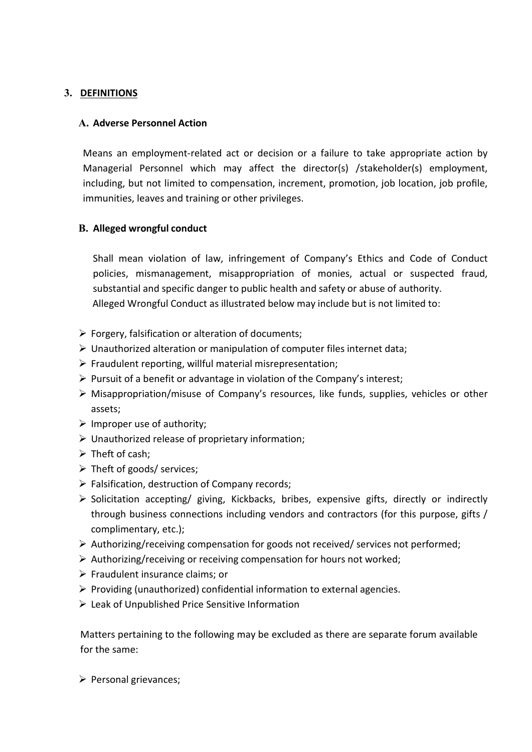# 3. DEFINITIONS

**DEFINITIONS**<br> **A. Adverse Personnel Action**<br>
Means an employment-related act or decision or a failure to take appropriate action<br>
Managerial Personnel which may affect the director(s) /stakeholder(s) employm<br>
including, b **DEFINITIONS**<br> **N. Adverse Personnel Action**<br>
Means an employment-related act or decision or a failure to take appropriate action by<br>
Managerial Personnel which may affect the director(s) /stakeholder(s) employment,<br>
inclu **EXEMITIONS<br>
A. Adverse Personnel Action**<br>
Means an employment-related act or decision or a failure to take appropriate action by<br>
Managerial Personnel which may affect the director(s) /stakeholder(s) employment,<br>
includin **EFINITIONS**<br>**A. Adverse Personnel Action**<br>Means an employment-related act or decision or a failure to take appropriate action by<br>Managerial Personnel which may affect the director(s) /stakeholder(s) employment,<br>including, **DEFINITIONS**<br> **CREMITIONS**<br> **CREMITIONS**<br> **CREMITIONS**<br> **CREMITIONS**<br> **CREMITIONS**<br> **CREMITIONS**<br> **CREMITIONS**<br> **CREMITIONS**<br> **CREMITIONS**<br> **CREMITIONS**<br> **CREMITIONS**<br> **CREMITIONS**<br> **CREMITIONS**<br> **CREMITIONS**<br> **CREMITIONS DEFINITIONS**<br> **A. Adverse Personnel Action**<br> **A. Adverse Personnel Action**<br> **Means an employment-related act or decision or a failure to take appropriate action**<br> **Managerial Personnel which may affect the director(s)** /s **A. Adverse Personnel Action**<br>
Means an employment-related act or decision or a failure to take appropriate action by<br>
Managerial Personnel which may affect the director(s) /stakeholder(s) employment,<br>
including, but not Solution and memployment-related act or decision or a failure to take appropriate action by<br>
Managerial Personnel which may affect the director(s) /stakeholder(s) employment,<br>
intuiding, but not limited to compensation, i Means an employment-related act or decision or a failure to take appropriate action by<br>
Managerial Personnel which may affect the director(s) /stakeholder(s) employment,<br>
including, but not limited to compensation, increme

**EINITIONS**<br> **Adverse Personnel Action**<br> **e**ans an employment-related act or decision or a failure to take appropriate action by<br>
anagerial Personnel which may affect the director(s) /stakeholder(s) employment,<br>
cluding, b **EINITIONS**<br>**Adverse Personnel Action**<br>
enans an employment-related act or decision or a failure to take appropriate action by<br>
anagerial Personnel which may affect the director(s) /stakeholder(s) employment,<br>
cluding, but **EINITIONS**<br>**Adverse Personnel Action**<br>**Adverse Personnel Action**<br>**Example 18 Personnel which may affect the director(s)** /stakeholder(s) employment,<br>cluding, but not limited to compensation, increment, promotion, job loca **ENITIONS**<br> **Adverse Personnel Action**<br> **Adverse Personnel Action**<br> **Example Alleged Wrongful Conduct as illustrated to compensation, increment, promotion, job location, job profile,<br>
cluding, but not limited to compensati** Furtherm an empoyment extent of the director(s) /stateholder(s) employment curve<br>
Managerial Personnel which may affect the director(s) /stateholder(s) employment,<br>
including, but not limited to compensation, increment, p Windepeara Persionine Twinting and the direction increment, promotion, job location, job profile,<br>including, but not limited to compensation, increment, promotion, job location, job profile,<br>immunities, leaves and trainin **B. Alleged wrongful conduct**<br> **B. Alleged wrongful conduct**<br> **Shall mean violation of law, infringement of Company's Ethics and Code of C**<br>
policies, mismanagement, misappropriation of monies, actual or suspected<br>
substa **B. Alleged wrongful conduct**<br>
Shall mean violation of law, infringement of Company's Ethics and Code of Conduct<br>
policies, mismanagement, misappropriation of monies, actual or suspected fraud,<br>
substantial and specific d **S. Alleged wind parally conduct**<br>
Shall mean violation of law, infringement of Company's Ethics and Co<br>
policies, mismanagement, misappropriation of monies, actual or su<br>
substantial and specific danger to public health Shall mean violation of law, infringement of Company's Ethics and Code of<br>
policies, mismanagement, misappropriation of monies, actual or suspected<br>
substantial and specific danger to public health and safety or abuse of Falsification or lawy, illining permetic v company starts and cose or conduct<br>policies, mismanagement, misappropriation of monies, actual or suspected fraud,<br>substantial and specific danger to public health and safety or

- 
- 
- 
- 
- assets;
- 
- 
- 
- 
- 
- solicitation and specific drame providents of the mornes, accuse of authority.<br>
Alleged Wrongful Conduct as illustrated below may include but is not limited to:<br>
> Forgery, falsification or alteration of documents;<br>
> Unau sussination and spectro cranger to poton treation and stacty of abuse or adminity.<br>
Alleged Wrongful Conduct as illustrated below may include but is not limited to:<br>
Forgery, falsification or atteration of documents;<br>
Frau Example to the mission or alteration of documents;<br>
Forgery, falsification or alteration of documents;<br>
Unauthorized alteration or manipulation of computer files internet data;<br>
Fraudulent reporting, willful material misre in Forgery, falsification or alteration of documents;<br>
→ Unauthorized alteration or manipulation of computer files internet data;<br>
→ Fraudulent reporting, willfull material misrepresentation;<br>
→ Pursuit of a benefit or a Anar Constraint of the control of computer files internet data;<br>
A Unauthorized alteration or manipulation of computer files internet data;<br>
A Unauthorized abenefit or advantage in violation of the Company's interest;<br>
A Fraudulent reporting, will<br>full material misrepresentation; Fraudulent reporting, will<br>full material misrepresentation;<br> $\triangleright$  Prusuit of a benefit or advantage in violation of the Company's interest;<br> $\triangleright$  Misappropriat Fraculate it epotiting, with interest in this persecutation,<br>  $\triangleright$  Providit of a benefit or advantage in violation of the Company's interest;<br>  $\triangleright$  Misappropriation/misuse of Company's resources, like funds, supplies, A invision of a beneficity and consideration of the company's interest,<br>  $\triangleright$  Misappropriation/misuse of Company's resources, like funds, supplies, vehicles or other<br>
assets;<br>  $\triangleright$  Invarthorized release of proprietary **SASEST:**<br>
Sumproper use of authority;<br>  $\triangleright$  Theft of cash;<br>  $\triangleright$  Theft of cash;<br>  $\triangleright$  Theft of goods/services;<br>  $\triangleright$  Falsification, destruction of Company records;<br>  $\triangleright$  Solicitation accepting/ giving, Kickback For the same of admining,<br>  $\triangleright$  Unauthorized release of proprietary information;<br>  $\triangleright$  Theft of cash;<br>  $\triangleright$  Theft of goods/services;<br>  $\triangleright$  Falsification, destruction of Company records;<br>  $\triangleright$  Solicitation accept From Casar,<br>
From Casar,<br>
The formula grades is experimented in the spotter of company records;<br>  $\triangleright$  Falsification, destruction of Company records;<br>  $\triangleright$  Solicitation accepting/ giving, Kickbacks, bribes, expensive g
- 
- 
- 
- 
-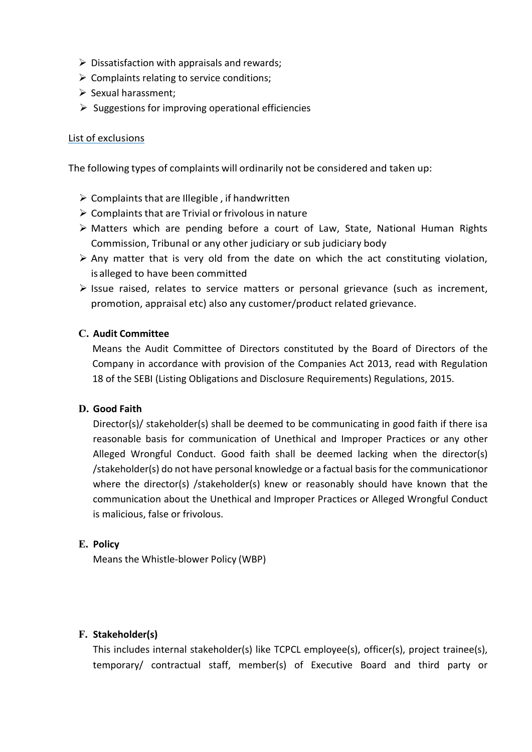- 
- 
- 
- <ul>\n<li>▶ Dissatification with appraisals and rewards;</li>\n<li>▶ Complaints relating to service conditions;</li>\n<li>▶ Sexual harasment;</li>\n<li>▶ Suggestions for improving operational efficiencies</li>\n</ul> in Dissatisfaction with appraisals and rewards;<br>
⇒ Complaints relating to service conditions;<br>
⇒ Sexual harassment;<br>
⇒ Suggestions for improving operational efficiencies<br>
at of exclusions Sexual harassment;<br>
Sexual harassment;<br>
Sexual harassment;<br>
Sexual harassment;<br>
Suggestions for improving operational efficiencies<br>
Suggestions for improving operational efficiencies<br>
Sut of exclusions

 $\triangleright$  Dissatisfaction with appraisals and rewards;<br>  $\triangleright$  Complaints relating to service conditions;<br>  $\triangleright$  Suggestions for improving operational efficiencies<br>  $\pm$  of exclusions<br>  $\pm$  of exclusions<br>
e following types → Dissatisfaction with appraisals and rewards;<br>
→ Complaints relating to service conditions;<br>
→ Sexual harassment;<br>
→ Suggestions for improving operational efficiencies<br>
List of exclusions<br>
The following types of complai

- 
- 
- interal Summary Dissatisfaction with appraisals and rewards;<br>
⇒ Complaints relating to service conditions;<br>
⇒ Suggestions for improving operational efficiencies<br>
<br>
List of exclusions<br>
The following types of complaints wil independent with appraisals and rewards;<br>
⇒ Somplaints relating to service conditions;<br>
⇒ Sexual harassment;<br>
⇒ Suggestions for improving operational efficiencies<br>
to fexclusions<br>
e following types of complaints will ord
	- independent of the are completed to the date on which the scheme of the scheme of the scheme of the scheme of the scheme of the scheme of the scheme of the scheme of the scheme of the scheme of the scheme of the scheme o independent with appraisals and rewards;<br>
	independents relating to service conditions;<br>
	independent of Excussions for improving operational efficiencies<br>
	into the exclusions<br>
	independing types of complaints will ordinari Dissatisfaction with appraisals and rewards;<br>Complaints relating to service conditions;<br>Sexual harassment;<br>Suggestions for improving operational efficiencies<br>fexclusions<br>following types of complaints will ordinarily not be
	- Dissatisfaction with appraisals and rewards;<br>Sexual harassment;<br>Sexual harassment;<br>Suggestions for improving operational efficiencies<br>fexclusions<br>ollowing types of complaints will ordinarily not be considered and taken up: Any mathems of the date one of the date one of the products of the sexual harassment;<br>  $\triangleright$  Suggestions for improving operational efficiencies<br>  $\triangleright$  Suggestions for improving operational efficiencies<br>
	e following type Formulation with exploration of the conditions;<br>
	<br>
	A Complaints relating to service conditions;<br>
	<br>
	Sexual harassment;<br>
	<br>
	Sexual harassment;<br>
	<br>
	Sexual harassment;<br>
	<br>
	Sexual harassment;<br>
	<br>
	Complaints that are Illegible , i

Complaints relating to service conductins,<br>
Sexual harassment;<br>
Suggestions for improving operational efficiencies<br>
fexclusions<br>
Ilolwing types of complaints will ordinarily not be considered and taken up:<br>
Complaints that C. Audit Committee<br>
Means the Audit Comparison and the Considered and taken<br>
Complaints that are Illegible , if handwritten<br>
Complaints that are Illegible , if handwritten<br>
Complaints that are Trivial or frivolous in natu f exclusions<br>
sollowing types of complaints will ordinarily not be considered and taken up:<br>
Complaints that are Illegible, if handwritten<br>
Complaints that are Trivial or frivolous in nature<br>
Matters which are pending befo Exacusions<br>
Complaints that are lllegible, if handwritten<br>
Complaints that are lllegible, if handwritten<br>
Complaints that are Trivial or frivolous in nature<br>
Matters which are pending before a court of Law, State, National Islowing types of complaints will ordinarily not be considered and taken up:<br>
Complaints that are Illegible, if handwritten<br>
Complaints that are Trivial or frivolous in nature<br>
Matters which are pending before a court of L

ightaris that are Illegible, if handwritten<br>
⇒ Complaints that are Trivial or frivolous in nature<br>
⇒ Matters which are pending before a court of Law, State, Nationa<br>
Commission, Tribunal or any other judiciary or sub judi Complaints that are megnole, in individual in<br>the Complaints that are Trivial or frivolous in nature<br>Matters which are pending before a court of Law, State, National Human Rights<br>Commission, Tribunal or any other judiciary Compannis to the rivior of communication of Unethical and Improper Practices or any other publical and my other judiciary body<br>Any matter that is very old from the date on which the act constituting violation, salleged to Valuet is within are pentulige detore is court of tawy, state, reation infiniting violation,<br>Commission, Tribunal or any other judicity or sub judiciary body<br>Any matter that is very old from the date on which the act const Commission, inioninal of any tourier joutines then the dist on which the act constituting violation, salleged to have been committed<br>sue raised, relates to service matters or personal grievance (such as increment,<br>promotio singled to have been committed<br>salleged to have been committed<br>ssue raised, relates to service matters or personal grievance (such as increment,<br>promotion, appraisal etc) also any customer/product related grievance.<br>Audit sare gualor or ever-communication<br>save raised, relates to service matters or personal grievance (such as increment,<br>promotion, appraisal etc) also any customer/product related grievance.<br>Audit Committee<br>Means the Audit Com sale raised, relates to service intentions or personal grievance (such as internet<br>promotion, appraisal etc) also any customer/product related grievance.<br> **Audit Committee**<br>
Means the Audit Committee of Directors constitut Nuan Committee of Directors constituted by the Board of Directors of the Company in accordance with provision of the Companies Act 2013, read with Regulation 18 of the SEBI (Listing Obligations and Disclosure Requirements) Drectory, samenouents, state decired to external interpretation of the state of reading the diversion references or any other<br>Alleged Wrongful Conduct. Good faith shall be deemed lacking when the director(s)<br>/stakeholder(s reassounce cass for communication to incriminal and improper Fractices of any other Alleged Wrongful Conduct. Good faith shall be deemed lacking when the director(s) /stakeholder(s) do not have personal knowledge or a fact

## E. Policy

# F. Stakeholder(s)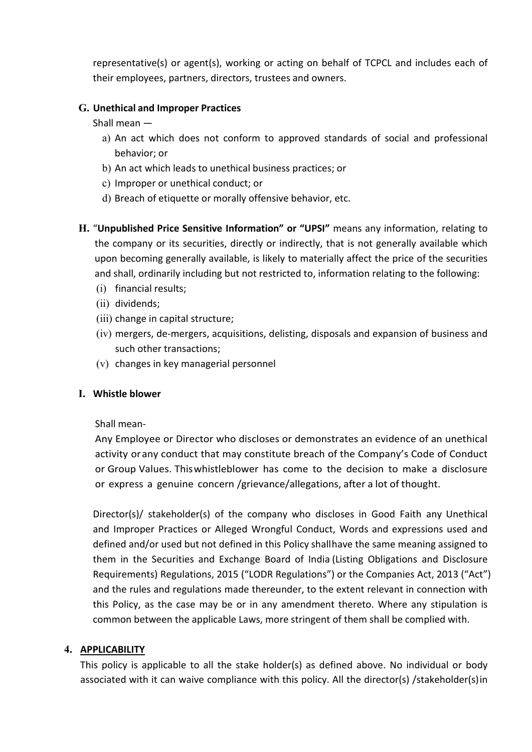representative(s) or agent(s), working or acting on behalf of TCPCL and includes each of<br>their employees, partners, directors, trustees and owners.<br>**Unethical and Improper Practices**<br>Shall mean representative(s) or agent(s), working or acting on behalf of TCPCL and includes each of<br>their employees, partners, directors, trustees and owners.<br>**Unethical and Improper Practices**<br>Shall mean —<br>a) An act which does not c representative(s) or agent(s), working or acting on behalf of TCPCL and includes each of<br>their employees, partners, directors, trustees and owners.<br>G. Unethical and Improper Practices<br>Shall mean —<br>a) An act which does not representative(s) or agent(s), working or acting on behalf of TCPCL and inclu<br>their employees, partners, directors, trustees and owners.<br>**Unethical and Improper Practices**<br>Shall mean —<br>a) An act which does not conform to a presentative(s) or agent(s), working or acting on behalf of TCPCL and includes each of<br>eir employees, partners, directors, trustees and owners.<br>**nethical and Improper Practices**<br>all mean —<br>a) An act which does not conform sentative(s) or agent(s), working or acting on behalf of TCPCL and includes<br>employees, partners, directors, trustees and owners.<br>hical and Improper Practices<br>mean —<br>An act which does not conform to approved standards of so presentative(s) or agent(s), working or acting on behalf of TCPCL and includes each of<br>eir employees, partners, directors, trustees and owners.<br>all mean —<br>a) An act which does not conform to approved standards of social an

- 
- 
- 
- 
- presentative(s) or agent(s), working or acting on behalf of TCPCL and includes each of<br>eir employees, partners, directors, trustees and owners.<br>**nethical and Improper Practices**<br>all mean —<br>a) An act which does not conform presentative(s) or agent(s), working or acting on behalf of TCPCL and includes each of<br>eir employees, partners, directors, trustees and owners.<br>nethical and Improper Practices<br>all mean —<br>a) An act which does not conform to representative(s) or agent(s), working or acting on behalf of TCPCL and includes each of<br>their employees, partners, directors, trustees and owners.<br> **G. Unethical and Improper Practices**<br>
Shall mean —<br>
a) An act which does representative(s) or agent(s), working or acting on behalf of TCPCL and includes each of<br>their employees, partners, directors, trustees and owners.<br> **Unethical and Improper Practices**<br>
a) An act which does not conform to a representative(s) or agent(s), working or acting on behalf of TCPCL and includes each of<br>their employees, partners, directors, trustees and owners.<br>
Unethical and Improper Practices<br>
Shall mean —<br>
a) An act which does not representative(s) or agent(s), working or acting on behalf of TCPCL and includes each of<br>their employees, partners, directors, trustees and owners.<br>
Unethical and **Improper Practices**<br>
Shall mean —<br>
a) An act which does no Epiesentative(a) or egent(a), working or acting ori beliant or terct and include<br>heir employees, partners, directors, trustees and owners.<br>
Jnethical and Improper Practices<br>
Shall mean —<br>
a) An act which does not conform t **Jnethical and Improper Practices**<br>
Shall mean —<br>
a) An act which does not conform to approved standards of social and professions<br>
behavior; or<br>
b) An act which leads to unethical business practices; or<br>
c) Improper or u (i) An act which does not conform to approved standards of social and professional<br>
balalmean —<br>
a) An act which does not conform to approved standards of social and professional<br>
behavior; or<br>
c) Improper or unethical con mean<br>An act which does not conform to approved standards of social and profe<br>behavior; or<br>An act which leads to unethical business practices; or<br>Improper or unethical conduct; or<br>Breach of etiquette or morally offensive be (v) An act which leads to unethical business practices; or<br>
b) An act which leads to unethical business practices; or<br>
c) Improper or unethical conduct; or<br>
d) Breach of etiquette or morally offensive behavior, etc.<br> **Unpu** Content winderstay to unetime bussiness plactices, or<br>
c) Improper or unethical conduct; or<br>
d) Breach of etiquette or morally offensive behavior, etc.<br> **H. "Unpublished Price Sensitive Information" or "UPSI"** means any in (a) blead of etiquette of motally differed and of etiquety (etc.<br>
(a) blead of etiquete of motally differed and of  $\sim$  (UPSI" means any inform<br>
the company or its securities, directly or indirectly, that is not generall<br> "Unpublished Price Sensitive Information" or "UPSI" means any information, relating to<br>the company or its securities, directly or indirectly, that is not generally available which<br>upon becoming generally available, is like
	-
	- (ii) dividends;
	-
	-
	-

or<br>
or company or its securities, directly or indirectly, that is not generally available which<br>
upon becoming generally available, is likely to materially affect the price of the securities<br>
and shall, ordinarily includin Or Group Varias Controllary and the company of the completed the price of the securities<br>and shall, ordinarily including but not restricted to, information relating to the following:<br>(i) financial results;<br>(ii) dividends;<br> sprot becoming generally available, is meety to indeclining antect the pince of the securines<br>and shall, ordinarily including but not restricted to, information relating to the following:<br>(i) dividends;<br>(ii) ohivedens;<br>(ii

(ii) dividents;<br>
(iii) change in capital structure;<br>
(iv) mergers, de-mergers, acquisitions, delisting, disposals and expansion of business and<br>
such other transactions;<br>
(v) changes in key managerial personnel<br>
Whistle bl (ii) othaques,<br>
(iii) change in capital structure;<br>
(iv) mergers, de-mergers, acquisitions, delisting, disposals and expansion of business and<br>
such other transactions;<br>
(v) changes in key managerial personnel<br>
Whistle blo (iv) mergers, de-mergers, acquisitions, delisting, disposals and expansion of business and<br>such other transactions;<br>(v) changes in key managerial personnel<br>Mistle blower<br>Mistle blower<br>Mistle blower<br>defined and<br>activity or (iv) meters are them interesting, the Securities and Exploration of Districts and the Securities and Cyclosure<br>
Such other transactions;<br>
(v) changes in key managerial personnel<br>
Shall mean-<br>
Any Employee or Director who d (v) changes in key managerial personnel<br>
Whistle blower<br>
Shall mean-<br>
Any Employee or Director who discloses or demonstrates an evidence of an unethical<br>
activity or any conduct that may constitute breach of the Company's (v) changes in key managenar personner<br>
and whistle blower<br>
Shall mean-<br>
Any Employee or Director who discloses or demonstrates an evidence of an unethical<br>
activity or any conduct that may constitute breach of the Company Whistle blower<br>Any Employee or Director who discloses or demonstrates an evidence of an unethical<br>activity or any conduct that may constitute breach of the Company's Code of Conduct<br>or Group Values. This whistleblower has Shall mean-<br>
Shall mean-<br>
Any Employee or Director who discloses or demonstrates an evidence of an unethical<br>
activity or any conduct that may constitute breach of the Company's Code of Conduct<br>
or Group Values. This whist Any Employee of Detector wind usedess of demonstrates are evidented of a formulation of Groupt Values. This whistleblower has come to the decision to make a disclosure or express a genuine concern /grievance/allegations, a activity that y contuct that may consisted with the complete of Group Values. This whistleblower has come to the decision to make a disclosure or express a genuine concern /grievance/allegations, after a lot of thought.<br>Di

## 4. APPLICABILITY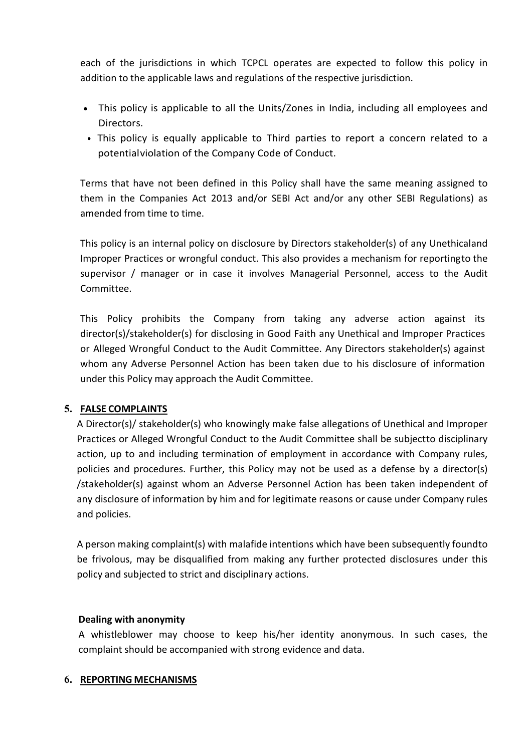- each of the jurisdictions in which TCPCL operates are expected to follow this policy in addition to the applicable laws and regulations of the respective jurisdiction.<br>• This policy is applicable to all the Units/Zones in each of the jurisdictions in which TCPCL operates are expected to follow this policy in<br>addition to the applicable laws and regulations of the respective jurisdiction.<br>• This policy is applicable to all the Units/Zones in Directors.
- 

ach of the jurisdictions in which TCPCL operates are expected to follow this policy in<br>ddition to the applicable laws and regulations of the respective jurisdiction.<br>This policy is applicable to all the Units/Zones in Indi of the jurisdictions in which TCPCL operates are expected to follow this policy in tion to the applicable laws and regulations of the respective jurisdiction.<br>This policy is applicable to all the Units/Zones in India, incl each of the jurisdictions in which TCPCL operates are expected to follow this policy in<br>addition to the applicable laws and regulations of the respective jurisdiction.<br>
• This policy is applicable to all the Units/Zones in the interior of the jurisdictions in which TCPCL operates are expected to follow this policy in<br>addition to the applicable laws and regulations of the respective jurisdiction.<br>• This policy is applicable to all the Units/2

each of the jurisdictions in which TCPCL operates are expected to follow this policy<br>addition to the applicable laws and regulations of the respective jurisdiction.<br>
• This policy is applicable to all the Units/Zones in In each of the jurisdictions in which TCPCL operates are expected to follow this policy in<br>addition to the applicable laws and regulations of the respective jurisdiction.<br>• This policy is applicable to all the Units/Zones in each of the jurisdictions in which TCPCL operates are expected to follow this policy in<br>addition to the applicable laws and regulations of the respective jurisdiction.<br>• This policy is applicable to all the Units/Zones in each of the jurisdictions in which TCPCL operates are expected to follow this policy in<br>addition to the applicable laws and regulations of the respective jurisdiction.<br>
• This policy is applicable to all the Units/Zones in Committee.

• This policy is applicable to all the Units/Zones in India, including all employees and<br>Directors.<br>• This policy is equally applicable to Third parties to report a concern related to a<br>potentialviolation of the Company Co This policial and the comparison in mate, mateuring an employees and<br>directors.<br>This policy is equally applicable to Third parties to report a concern related to a<br>potential violation of the Company Code of Conduct.<br>Terms or This policy is equally applicable to Third parties to report a concern related to a<br>potentialviolation of the Company Code of Conduct.<br>Terms that have not been defined in this Policy shall have the same meaning assigned The potential violation of the Company Code of Conduct.<br>
Terms that have not been defined in this Policy shall have the same meaning assigned to<br>
them in the Companies Act 2013 and/or SEBI Act and/or any other SEBI Regulat Terms that have not been defined in this Policy shall have the same meaning assigned to<br>Terms that have not been defined in this Policy shall have the same meaning assigned to<br>them in the Companies Act 2013 and/or SEBI Act This under the Companies Act 2013 and/or SEBI Act and/or any other Samended from time to time.<br>
This policy is an internal policy on disclosure by Directors stakeholder(s) (mproper Practices or wrongful conduct. This also

This policy is an internal policy on disclosure by Directors stakeholder(s) of any Unethicaland<br>This policy is an internal policy on disclosure by Directors stakeholder(s) of any Unethicaland<br>supervisor (manager or in case This policy is an internal policy on disclosure by Directors stakeholder(s) of any Unethicaland<br>
Improper Practices or wrongful conduct. This also provides a mechanism for reportingto the<br>
supervisor / manager or in case i This policy is an internal policy on disclosure by Directors stakeholder(s) of any Unethicaland<br>
Improper Practices or wrongful conduct. This also provides a mechanism for reportingto the<br>
supervisor / manager or in case i Improper Practices or wrongful conduct. This also provides a mechanism for reporting to the supervisor / manager or in case it involves Managerial Personnel, access to the Audit Committee.<br>This Policy prohibits the Company my per ractices or who and provider of the Company from taking any adverse attion against its director(s)/stakeholder(s) for disclosing in Good Faith any Unethical and Improper Practices<br>or Alleged Wrongful Conduct to the Survivors of information company from taking any adverse action against its director(s)/stakeholder(s) for disclosing in Good Faith any Unethical and Improper Practices or Alleged Wrongful Conduct to the Audit Committee. A This Policy prohibits the Company from taking any adverse<br>director(s)/stakeholder(s) for disclosing in Good Faith any Unethical a<br>or Alleged Wrongful Conduct to the Audit Committee. Any Directors<br>whom any Adverse Personnel The director(s)/stakeholder(s) for disclosing in Good Faith any durethical and Improper Practices<br>or Alleged Wrongful Conduct to the Audit Committee. Any Directors stakeholder(s) against<br>whom any Adverse Personnel Action h be or Alleged Wrongful Conduct to the Audit Committee. Any Directors stakeholder(s) against<br>whom any Adverse Personnel Action has been taken due to his disclosure of information<br>under this Policy may approach the Audit Com of menged wrought contact to the Auto-Comminteet. Any protectors assessing and whom any Adverse Personnel Action has been taken due to his disclosure of information under this Policy may approach the Audit Committee.<br> **FAL FALSE COMPLAINTS**<br> **FALSE COMPLAINTS**<br> **A** Director(s)/ stakeholder(s) who knowingly make false allegations of Unethical Practices or Alleged Wrongful Conduct to the Audit Committee shall be subjectted<br>
Practices or Alleg **EXECT COMETATEST**<br>A Director(s)/ stakeholder(s) who knowingly make false allegations of Unethical and Improper<br>Practices or Alleged Wrongful Conduct to the Audit Committee shall be subjectto disciplinary<br>policies and proc is increasing that all the should be all the should be subject to disciplinary<br>Practices or Alleged Wrongful Conduct to the Audit Committee shall be subject to disciplinary<br>action, up to and including termination of employ action, up to and including certification of employment in accordance with columnation<br>policies and procedures. Further, this Policy may not be used as a defense by<br>disclosure of information by him and for legitimate reaso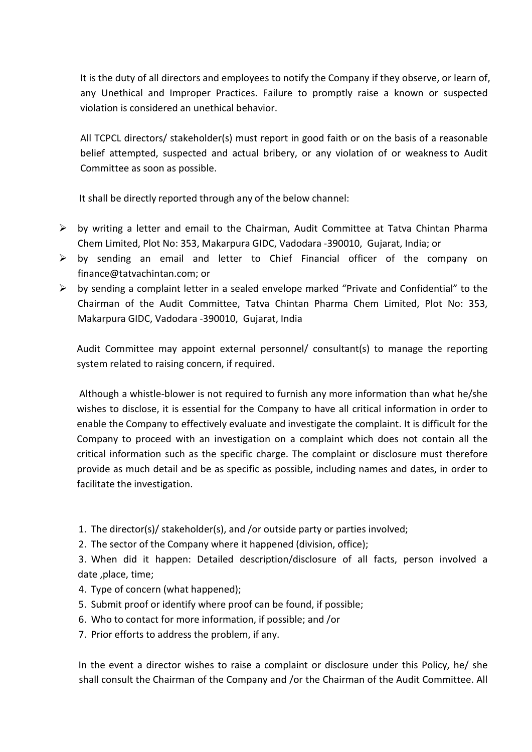It is the duty of all directors and employees to notify the Company if they observe, or learn of,<br>any Unethical and Improper Practices. Failure to promptly raise a known or suspected<br>violation is considered an unethical be It is the duty of all directors and employees to notify the Company if they observe, or learn of,<br>any Unethical and Improper Practices. Failure to promptly raise a known or suspected<br>violation is considered an unethical be It is the duty of all directors and employees to notify the Company if they observe, or learn of,<br>any Unethical and Improper Practices. Failure to promptly raise a known or suspected<br>violation is considered an unethical be It is the duty of all directors and employees to notify the Company if they observe, or learn of,<br>any Unethical and Improper Practices. Failure to promptly raise a known or suspected<br>violation is considered an unethical be It is the duty of all directors and employees to notify the Company if they observe, or learn of,<br>any Unethical and Improper Practices. Failure to promptly raise a known or suspected<br>violation is considered an unethical be It is the duty of all directors and employees to notify the Company if they observe, or lear<br>any Unethical and Improper Practices. Failure to promptly raise a known or suspec<br>violation is considered an unethical behavior.<br> It is the duty of all directors and employees to notify the Company if they observe, or learn of,<br>any Unethical and Improper Practices. Failure to promptly raise a known or suspected<br>violation is considered an unethical be It is the duty of all directors and employees to notify the Company if they observe, or learn of,<br>
any Unethical and Improper Practices. Failure to promptly raise a known or suspected<br>
violation is considered an unethical It is the duty of all directors and employees to notify the Company if they observe, or learn of,<br>any Unethical and Improper Practices. Failure to promptly raise a known or suspected<br>violation is considered an unethical be

- 
- 
- It is the duty of all directors and employees to notify the Company if they observe, or learn of,<br>
any Unethical and Improper Practices. Failure to promptly raise a known or suspected<br>
violation is considered an unethical It is the duty of all directors and employees to notify the Company if they observe, or learn of, any Unethical and Improper Practices. Failure to promptly raise a known or suspected violation is considered an unethical be It is the duty of all directors and employees to notify the Company if they observe, or learn of,<br>any Unethical and Improper Practices. Failure to promptly raise a known or suspected<br>violation is considered an unethical be The State court of an uncelectors and employees to incruit the Company in the Vousselve, or learn or,<br>any Unethical and Improper Practices. Failure to promptly raise a known or suspected<br>violation is considered an unethica ary ontention is imploper ratcuces. Training to ploting the antiomistion is considered an unerthical behavior.<br>All TCPCL directors/ stakeholder(s) must report in good faith or on the basis of a reasonable belief attempted, All TCPCL directors/ stakeholder(s) must report in good faith or on the basis of a reasonable<br>belief attempted, suspected and actual bribery, or any violation of or weakness to Audit<br>Committee as soon as possible.<br>It shall

First Critections, statemotical principle and actual bribery, or any violation of or weakness to Audit Committee as soon as possible.<br>
It shall be directly reported through any of the below channel:<br>
by writing a letter an Let thall be directly reported through any of the below channel:<br>
Although a letter and email to the Chairman, Audit Committee at Tatva Chintan Pharma<br>
Chem Limited, Plot No: 353, Makarpura GIDC, Vadodara -390010, Gujarat, It shall be directly reported through any of the below channel:<br>
by writing a letter and email to the Chairman, Audit Committee at Tatva Chintan Pharma<br>
Chem Limited, Plot No: 353, Makarpura GIDC, Vadodara -390010, Gujarat It shan be unectly reported antogramy or the below channel.<br>
Dy writing a letter and email and letter to Chief Financial officer of the company on<br>
Dy sending an email and letter to Chief Financial officer of the company o by writing a letter and email to the Chairman, Audit Committee at Tatva Chintan Pharma<br>Chem Limited, Plot No: 353, Makarpura GIDC, Vadodara -390010, Gujarat, India; or<br>by sending an email and letter to Chief Financial offi by wring a return and to the charge. Comparison, A would commined at reave chines of the company of finance@tatvachintan.com; or by sending an email and letter to Chief Financial officer of the company on finance@tatvachin Entri Limited, rolchost, 250, was appuared uncertail and letter to Chief Financial officer of the company on finance@tatvachintan.com; or<br>by sending a complaint letter in a sealed envelope marked "Private and Confidential" by sending and remain and retter to Chier Thianclean oniter of the<br>tinance@tatvachintan.com; or<br>thy sending a complaint letter in a sealed envelope marked "Private and Confic<br>Chairman of the Audit Committee, Tatva Chintan Enaminan or the Naute Committee, rate Committen Then the director, rout its, rout its, 353, and Audit Committee may appoint external personnel/ consultant(s) to manage the reporting system related to raising concern, if re Wakaipuna Gibcl, vauddara -JJoodd, Cugrara, india<br>
Audit Committee may appoint external personnel/ consultant(s) to manage the reporting<br>
system related to raising concern, if required to furnish any more information than Audit Committee may appoint external personnel/ consultant(s) to manage the reporting<br>system related to raising concern, if required.<br>Although a whistle-blower is not required to furnish any more information than what he/s Houstice may appoint external personnery consulating) to manage<br>system related to raising concern, if required.<br>Although a whistle-blower is not required to furnish any more information that<br>wishes to disclose, it is essen Although a whistle-blower is not required to furnish any more information than what he/sh<br>Although a whistle-blower is not required to furnish any more information in order t-<br>enable the Company to effectively evaluate and Although a whistle-blower is not required to furnish any more information than what he/she<br>wishes to disclose, it is essential for the Company to have all critical information in order to<br>enable the Company to effectively Arinougin a winster-orower is not required to runnian any more information transmits wishes to disclose, it is essential for the Company to have all critical information in order to enable the Company to proceed with an in where to usacome, it is essential for the Company to refectively evaluate and investigate the complaint. It is difficult for the Company to proceed with an investigation on a complaint which does not contain all the Compan Company to proceed with all information such a sumpleme within the described information such as the specific charge. The complaint or disclosure must therefore provide as much detail and be as specific as possible, includ Enter information start as are specific as possible, including names and dates, in order to incroited as much detail and be as specific as possible, including names and dates, in order to including the investigation.<br>
1. T

- 
- 

- 
- 
- 
-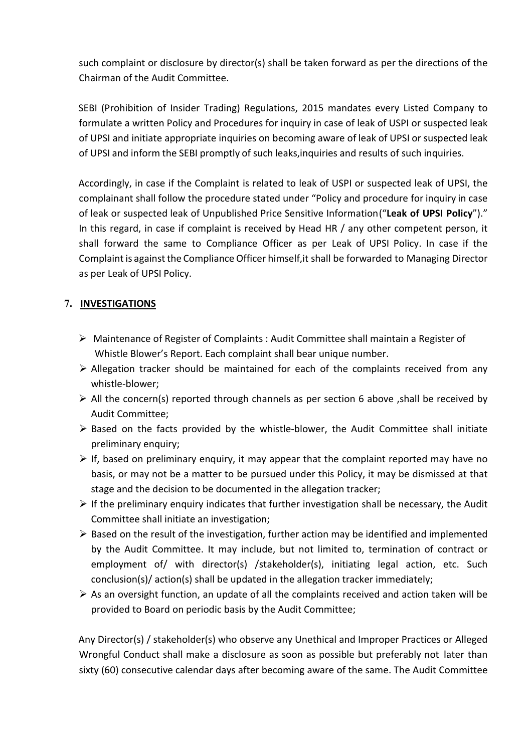such complaint or disclosure by director(s) shall be taken forward as per the directions of the<br>Chairman of the Audit Committee.<br>SEBI (Prohibition of Insider Trading) Regulations, 2015 mandates every Listed Company to<br>form such complaint or disclosure by director(s) shall be taken forward as per the directions of<br>Chairman of the Audit Committee.<br>SEBI (Prohibition of Insider Trading) Regulations, 2015 mandates every Listed Compan<br>formulate a such complaint or disclosure by director(s) shall be taken forward as per the directions of the<br>Chairman of the Audit Committee.<br>SEBI (Prohibition of Insider Trading) Regulations, 2015 mandates every Listed Company to<br>form such complaint or disclosure by director(s) shall be taken forward as per the directions of the<br>Chairman of the Audit Committee.<br>SEBI (Prohibition of Insider Trading) Regulations, 2015 mandates every Listed Company to<br>form such complaint or disclosure by director(s) shall be taken forward as per the directions of the<br>Chairman of the Audit Committee.<br>SEBI (Prohibition of Insider Trading) Regulations, 2015 mandates every Listed Company to<br>form such complaint or disclosure by director(s) shall be taken forward as per the directions of the<br>Chairman of the Audit Committee.<br>SEBI (Prohibition of Insider Trading) Regulations, 2015 mandates every Listed Company to<br>form

such complaint or disclosure by director(s) shall be taken forward as per the directions of the Chairman of the Audit Committee.<br>
SEBI (Prohibition of Insider Trading) Regulations, 2015 mandates every Listed Company to<br>
fo such complaint or disclosure by director(s) shall be taken forward as per the directions of the Chairman of the Audit Committee.<br>
SEBI (Prohibition of Insider Trading) Regulations, 2015 mandates every Listed Company to<br>
fo such complaint or disclosure by director(s) shall be taken forward as per the directions of the Chairman of the Audit Committee.<br>
SEBI (Prohibition of Insider Trading) Regulations, 2015 mandates every Listed Company to<br>
fo such complaint or disclosure by director(s) shall be taken forward as per the directions of the Chairman of the Audit Committee.<br>
CEBI (Prohibition of Insider Trading) Regulations, 2015 mandates every Listed Company to<br>
fo such complaint or disclosure by director(s) shall be taken forward as per the directions of the Chairman of the Audit Committee.<br>SEBI (Prohibition of Insider Trading) Regulations, 2015 mandates every Listed Company to<br>form such complaint or disclosure by director(s) shall be taken forward as per the directions of the Chairman of the Audit Committee.<br>Chairman of the Audit Committee.<br>SEBI (Prohibition of Insider Trading) Regulations, 2015 mand such complaint or disclosure by director(s) shall be taken forward as per the direction.<br>Chairman of the Audit Committee.<br>SEBI (Prohibition of Insider Trading) Regulations, 2015 mandates every Listed Comp<br>formulate a writt formulate a written Policy and Procedures for inquiry in case of leak of USPI or suspected leak<br>of UPSI and initiate appropriate inquiries on becoming aware of leak of UPSI or suspected leak<br>of UPSI and inform the SEBI pro IPSI and initiate appropriate inquiries on becoming aware of leak of UPSI or suspected leak<br>IPSI and inform the SEBI promptly of such leaks, inquiries and results of such inquiries.<br>
ordingly, in case if the Complaint is r of UPSI and inform the SEBI promptly of such leaks,inquiries and results of such inquiries.<br>
Accordingly, in case if the Complaint is related to leak of USPI or suspected leak of UPSI, the<br>
complainant shall follow the pro Accordingly, in case if the Complaint is related to leak of USPI or suspected leak of UPSI, the<br>
complainant shall follow the procedure stated under "Policy and procedure for inquiry in case<br>
of leak or suspected leak of mplainant shall follow the procedure stated under "Policy and procedure<br>leak or suspected leak of Unpublished Price Sensitive Information ("Leak<br>this regard, in case if complaint is received by Head HR / any other con<br>all of leak or suspected leak of Unpublished Price Sensitive Information ("Leak of UPSI Policy")."<br>
In this regard, in case if complaint is received by Head HR / any other competent person, it<br>
shall forward the same to Compli this regard, in case if complaint is received by Head HR / any other competer<br>all forward the same to Compliance Officer as per Leak of UPSI Policy. In<br>mplaint is against the Compliance Officer himself, it shall be forward Shall forward the same to Compliance Officer as per Leak of UPSI Policy. In case if the<br>
Complaint is against the Complaince Officer himself, it shall be forwarded to Managing Director<br>
as per Leak of UPSI Policy.<br>
INVESTI

# 7. INVESTIGATIONS

- 
- whistle-blower;
- 
- 
- mplaint is against the Compliance Officer himself, it shall be forwarded to Managing Director<br>per Leak of UPSI Policy.<br>VESTIGATIONS<br>Maintenance of Register of Complaints : Audit Committee shall maintain a Register of<br>Mhist per Leak of UPSI Policy.<br> **VESTIGATIONS**<br>
Maintenance of Register of Complaints : Audit Committee shall maintain a Register of<br>
Whistle Blower's Report. Each complaint shall bear unique number.<br>
Allegation tracker should b
- 
- INVESTIGATIONS<br>
IMMENTERATIONS<br>
IMMENTERATIONS<br>
IMMENTERATIONS Whistle Blower's Report. Each complaint shall bear unique number.<br>
IMMENTERATION TRATIONS with the complaints are precised from any<br>
whistle-blower;<br>
All the **VESTIGATIONS**<br>
Maintenance of Register of Complaints : Audit Committee shall maintain a Register of<br>
Whistle Blower's Report. Each complaint shall bear unique number.<br>
Allegation tracker should be maintained for each of t Maintenance of Register of Complaints : Audit Committee shall maintain a Register of<br>
Whistel Blower's Report. Each complaint shall bear unique number.<br>
Allegation tracker should be maintained for each of the complaints r Maintenance of Register of Complaints : Audit Committee shall maintain a Register of<br>Whistle Blower's Report. Each complaint shall bear unique number.<br>Allegation tracker should be maintained for each of the complaints rece whistle Blower's Report. Each complaints : Audro Committee sinar minimism a negister of<br>Mistle Blower's Report. Each complaint shall bear unique number.<br>Allegation tracker should be maintained for each of the complaints re Will allegation tracker should be maintained for each of the complaints received from any<br>whistle-blower;<br>All the concern(s) reported through channels as per section 6 above ,shall be received by<br>Audit Committee;<br>Based on As an oversight function, an update of all the complaints received inoin any<br>  $\triangleright$  and the concern(s) reported through channels as per section 6 above ,shall be received by<br>  $\triangleright$  Based on the facts provided by the whi wisse-conver,<br>All the concern(s) reported through channels as per section 6 above ,shall be received by<br>Audit Committee;<br>Based on the facts provided by the whistle-blower, the Audit Committee shall initiate<br>preliminary equ Any Director(s) / stakeholder(s) who observe any Unethical and Improper Practices or Alleged Wrongtiu Committee chall initiate preliminary enquiry; it may appear that the complaint reported may have no basis, or may not b Solution of the acts in the discussion of the winster-buower, the solution of the preliminary enquiry;<br>  $\triangleright$  If, based on preliminary enquiry, it may appear that the complaint reported may have no<br>
basis, or may not be **Example 19:** The parallel with the complaint reported may have no<br>
Explore the same of the pursued under this Policy, it may be dismissed at that<br>
stage and the decision to be documented in the allegation tracker;<br>  $\triangleright$
-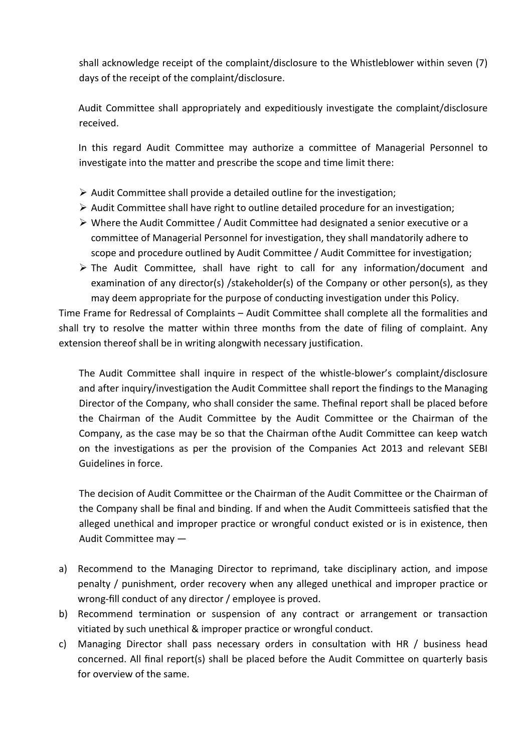shall acknowledge receipt of the complaint/disclosure to the Whistleblower within seven (7)<br>days of the receipt of the complaint/disclosure.<br>Audit Committee shall appropriately and expeditiously investigate the complaint/d Shall acknowledge receipt of the complaint/disclosure to the Whistleblower within seven (7<br>days of the receipt of the complaint/disclosure.<br>Audit Committee shall appropriately and expeditiously investigate the complaint/di Shall acknowledge receipt of the complaint/disclosure to the Whistleblower within seven (7)<br>days of the receipt of the complaint/disclosure.<br>Audit Committee shall appropriately and expeditiously investigate the complaint/d In this regard Audit Committee shall appropriately and expeditiously investigate the complaint/disclosure (7)<br>Audit Committee shall appropriately and expeditiously investigate the complaint/disclosure<br>received.<br>In this reg  $\mathbf s$  shall acknowledge receipt of the complaint/disclosure to the Whistleblower within seven (7)<br>days of the receipt of the complaint/disclosure.<br>Audit Committee shall appropriately and expeditiously investigate the com

received.

- 
- 
- Shall acknowledge receipt of the complaint/disclosure to the Whistleblower within seven (7)<br>Audit Committee shall appropriately and expeditiously investigate the complaint/disclosure<br>received.<br>In this regard Audit Committe Shall acknowledge receipt of the complaint/disclosure to the Whistleblower within seven (7)<br>
days of the receipt of the complaint/disclosure.<br>
Audit Committee shall appropriately and expeditiously investigate the complaint Shall acknowledge receipt of the complaint/disclosure to the Whistleblower within seven (7)<br>days of the receipt of the complaint/disclosure.<br>Audit Committee shall appropriately and expeditiously investigate the complaint/d
- all acknowledge receipt of the complaint/disclosure to the Whistleblower within seven (7)<br>ys of the receipt of the complaint/disclosure.<br>dit Committee shall appropriately and expeditiously investigate the complaint/disclos all acknowledge receipt of the complaint/disclosure to the Whistleblower within seven (7)<br>ys of the receipt of the complaint/disclosure.<br>dit Committee shall appropriately and expeditiously investigate the complaint/disclos Shall acknowledge receipt of the complaint/disclosure to the Whistleblower within seven (7)<br>
days of the receipt of the complaint/disclosure.<br>
Audit Committee shall appropriately and expeditiously investigate the complaint

all acknowledge receipt of the complaint/disclosure to the Whistleblower within seven (7)<br>ys of the receipt of the complaint/disclosure.<br>dit Committee shall appropriately and expeditiously investigate the complaint/disclos dit Committee shall appropriately and expeditiously investigate the complaint/disclosure<br>eived.<br>this regard Audit Committee may authorize a committee of Managerial Personnel to<br>estigate into the matter and prescribe the sc Audit Committee shall appropriately and expeditiously investigate the complaint/disclosure<br>received.<br>
In this regard Audit Committee may authorize a committee of Managerial Personnel to<br>
investigate into the matter and pr Audit Committee shall appropriately and expeditiously investigate the complaint/disclosure<br>
received.<br>
In this regard Audit Committee may authorize a committee of Managerial Personnel to<br>
investigate into the matter and pr received.<br>
In this regard Audit Committee may authorize a committee of Managerial Personnel to<br>
investigate into the matter and prescribe the scope and time limit there:<br>
> Audit Committee shall provide a detailed outline

In us regard valuat committee integral and the ministere or winding in reisonic in the single-<br>  $\triangleright$  Audit Committee shall provide a detailed outline for the investigation;<br>  $\triangleright$  Audit Committee shall have right to ou and the matter and presente the stope and the limit there.<br>
> Audit Committee shall have right to outline detailed procedure for an investigation;<br>
> Where the Audit Committee / Audit Committee had designated a senior exe inter a hall provide a detailed outline for the investigation;<br>
⇒ Audit Committee shall have right to outline detailed procedure for an investigation;<br>
⇒ Where the Audit Committee / Audit Committee had designated a senio A would committee shall have right to outline detailed procedure for an investigation;<br>
A what Committee fol Managerial Personnel for investigation, they shall mandatorily adhere to<br>
compend procedure for Managerial Perso A where the Audit Committee Jation counter leader procession of intressignation, they shall mandatorily adhere to scope and procedure outlined by Audit Committee / Audit Committee for investigation;  $\triangleright$  The Audit Commi Figure in exual condination, they shall committee of Managerial Personnel for investigation, they shall mandatorily adhere to scope and procedure outlined by Audit Committee / Audit Committee for investigation;<br>
> The Aud come and procedure or wanger arrivale trisonation (in the subsequent, they share marmation or soope and procedure outlined by Audit Committee / Audit Committee for inve > The Audit Committee, shall have right to call for a Frequency stand in the right of the Company or other person(s), as they may dimensionly decision of any director(s) /stakeholder(s) of the Company or other person(s), as they may deem appropriate for the purpose of conduc exammaturo or any unectourly *i*s ance the purpose of conducting investigation under this Policy.<br>
Frame for Redressal of Complaints – Audit Committee shall complete all the formalities and<br>
try to resolve the matter withi may vear a purpose or the purpose or conducting investigation under this rouge.<br>
Frame for Redressal of Complaints – Audit Committee shall complete all the formalities and<br>
try to resolve the matter within three months fro Triamin' or incuressary complemins – munimized since the interpedicular and complement in the traction thereof shall be in writing alongwith necessary justification.<br>The Audit Committee shall inquire in respect of the whi Externation thereor shall be in writing along with recessary justineation.<br>
The Audit Committee shall inquire in respect of the whistle-blower's complaint/disclosure<br>
and after inquiry/investigation the Audit Committee sha The Audit Committee shall inquire in respect of the whistle-blower's complaint/disclosure<br>and after inquiry/investigation the Audit Committee shall report the findings to the Managing<br>Director of the Company, who shall con The Nuture Sharm Internet and the The State of the Winderstower's complement of and after inquiry/investigation the Audit Committee shall report the findings to the Managing Director of the Company, who shall consider the and ance-mapay, who shall consider the same. The final report shall be placed before<br>the Chairman of the Audit Committee by the Audit Committee or the Chairman of the<br>Company, as the case may be so that the Chairman of the breector of the Comman of the Audit Committee by the Audit Committee or the Chairman of the Company, as the case may be so that the Chairman of the Audit Committee or the Chairman of the Company, as the case may be so that

che Chainman or the Nuture Chainman of the Audit Committee can keep watch<br>company, as the case may be so that the Chairman of the Audit Committee can keep watch<br>on the investigations as per the provision of the Companies A conpany, as the case may be so that the chainman of the Audit Committee can keep watch<br>on the investigations as per the provision of the Companies Act 2013 and relevant SEBI<br>Guidelines in force.<br>The decision of Audit Commi on the investigations as per the provision of the companies Act 2013 and relevated Guidelines in force.<br>The decision of Audit Committee or the Chairman of the Audit Committee or the Chair<br>the Company shall be final and bin

- 
- 
-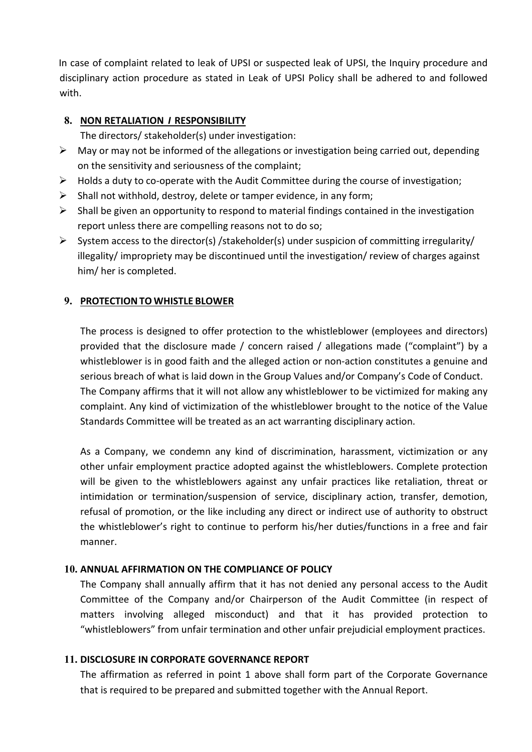In case of complaint related to leak of UPSI or suspected leak of UPSI, the Inquiry procedure and<br>disciplinary action procedure as stated in Leak of UPSI Policy shall be adhered to and followed<br>with.<br>**8.** NON RETALIATION I In case of complaint related to leak of UPSI or suspected leak of UPSI, the Inquiry procedure and<br>disciplinary action procedure as stated in Leak of UPSI Policy shall be adhered to and followed<br>with.<br>**8.** NON RETALIATION / with. 1 case of complaint related to leak of UPSI or suspected leak of UPSI, the Inisciplinary action procedure as stated in Leak of UPSI Policy shall be adhe<br> **8. NON RETALIATION I RESPONSIBILITY**<br>
The directors/stakeholder(s) See of complaint related to leak of UPSI or suspected leak of UPSI, the Inquiry procedure and<br>plinary action procedure as stated in Leak of UPSI Policy shall be adhered to and followed<br>**NON RETALIATION / RESPONSIBILITY**<br>Th In case of complaint related to leak of UPSI or suspected leak of UPSI, the Inquiry procedure and<br>disciplinary action procedure as stated in Leak of UPSI Policy shall be adhered to and followed<br>with.<br>**8. NON RETALIATION** see of complaint related to leak of UPSI or suspected leak of UPSI, the Inquiry procedure and<br>plinary action procedure as stated in Leak of UPSI Policy shall be adhered to and followed<br>I.<br>**NON RETALIATION / RESPONSIBILITY** In case of complaint related to leak of UPSI or suspected leak of UPSI, the Inquiry procedure and<br>disciplinary action procedure as stated in Leak of UPSI Policy shall be adhered to and followed<br>with.<br>**8. NON RETALIATION** In case of complaint related to leak of UPSI or suspected leak of UPSI, the Inquiry procedure and<br>
sisteplinary action procedure as stated in Leak of UPSI Policy shall be adhered to and followed<br>
with.<br>
8. NON RETALIATION In case of complaint related to leak of UPSI or suspected leak of UPSI, the Inquiry procedure and<br>disciplinary action procedure as stated in Leak of UPSI Policy shall be adhered to and followed<br>with.<br>**8. NON RETALIATION /** see of complaint related to leak of UPSI or suspected leak of UPSI, the Inquiry procedure and<br>plinary action procedure as stated in leak of UPSI Policy shall be adhered to and followed<br>i.<br>**NON RETALIATION / RESPONSIBILITY** In case of complaint related to leak of UPSI or suspected leak of UPSI, the Inquiry procedure and<br>
disciplinery action procedure as stated in Leak of UPSI Policy shall be adhered to and followed<br>
with.<br>
8. NON RETALIATION ise of complaint related to leak of UPSI or suspected leak of UPSI, the inquiry procedure and<br>plinary action procedure as stated in Leak of UPSI Policy shall be adhered to and followed<br>.<br>**NON RETALIATION / RESPONSIBILITY**<br> Sigmant related to leak of UPSI or suspected leak of UPSI, the Inquiry<br>
piplinary action procedure as stated in Leak of UPSI Policy shall be adhered to<br>
1.<br>
NON RETALIATION I RESPONSIBILITY<br>
The directors/ stakeholder(s) u

- 
- 
- 
- 
- Isciplinary action procedure as stated in Leak of UPSI Policy shall be adnered to and followed<br>
9. **A.**<br> **8. NON RETALIATION / RESPONSIBILITY**<br>
The directors/stakeholder(s) under investigation:<br>
Phay or may not be inform

**NON RETALIATION / RESPONSIBILITY**<br>The directors/stakeholder(s) under investigation:<br>Valgor or may not be informed of the allegations or investigation being carried out, depending<br>the valgor or may not be informed of the a **EXECT CONDUMATE TO THE CONTITE CONTITE CONTITE CONTITE CONTITE CONTITE CONTITE CONTITE CONTITE (INCONTITE ARE CONTITE ARE CONTITE ARE CONTITE CONTITE ARE CONTINUES A daty to co-operate with the Audit Committer during the** The uncousy stacehouterly, oncer investigation. The diagram of original the alleged active is in the sensitivity and seriousness of the complaint;<br>
rolds a duty to co-operate with the Audit Committee during the course of i show in my compares or the anguations or investigation being cannot be users the comptent of the Audit Committee during the course of investigation;<br>Holds a duty to co-operate with the Audit Committee during the course of The sensitivity and sentouch on-operate with the Audit Committee during the course of investigation;<br>
Shall not withhold, destroy, delete or tamper evidence, in any form;<br>
Shall be given an opportunity to respond to materi Follow and with the Multimization of the matter Communication of the matter of the state of investigation, the listing the content of the matter of the matter of the investigation, the listing the properties there are comp Dialition to winnout, usaslovy, calce to rearrive eventing, in any joint, the line spiral in the investigation<br>
Shall be given an opportunity to respond to material findings contained in the investigation<br>
eport unless the Epotr unress wire are competing reasons not cot ou so,<br>
system access to the director(s) /stakeholder(s) under suspicion of committing irregularity/<br>
Ilegality/ impropriety may be discontinued until the investigation/ revi System access to the unectouring the interaction of committent pregnanty<br>interactions of the method of the protection of committed against<br>the process is designed to offer protection to the whistleblower (employees and dir

wigniven minimization of the minimization of the whistleblower (employees and directors) in the process is designed to offer protection to the whistleblower (employees and directors) provided that the disclosure made / con **IFTHE THE SUCATA TO WHISTLE BLOWER**<br>The process is designed to offer protection to the whistleblower (employees and directors)<br>provided that the disclosure made / concern raised / allegations made ("complaint") by a<br>whist **PROTECTION TO WHISTLE BLOWER**<br>The process is designed to offer protection to the whistleblower (employees and directors)<br>provided that the disclosure made / concern raised / allegations made ("complaint") by a<br>whistleblow The process is designed to offer protection to the whistleblower (employees and directors)<br>provided that the disclosure made / concern raised / allegations made ("complaint") by a<br>provided that the disclosure made / concer manner. provided that the disclosure made *i* concern raised *i* allegations made (complaint r) by a whistleblower is in good failth and the allegeration or non-action company's Code of Conduct. The Company affirms that it will no whisteleolower is in good atath annot the Group Poin-action constructes a genuine and<br>Encricus breach of what is laid down in the Group Values and/or Company's Code of Conduct.<br>The Company affirms that it will not allow an senous breach of what is laid down in the Group Values and/or Company s Code of Conduct.<br>The Company affirms that it will not allow any whisteleblower to be victimized for making any<br>complaint. Any kind of victimization of Ine Company antific will not allow any whistelelower to be victimized or making any<br>complaint. Any kind of victimization of the whistelelower brought to the notice of the Value<br>Standards Committee will be treated as an act complaint. Any kind of victimization of the whistleblower prought to the notice of the value<br>Standards Committee will be treated as an act warranting disciplinary action.<br>As a Company, we condemn any kind of discrimination As a Company, we condemn any kind of discrimination, harassment, victimization or any<br>other unfair employment practice adopted against the whistels<br>blowers. Complete protection<br>will be given to the whistele<br>blowers against As a Company, we concemn any kind of discrimination, harassment, victimization or any<br>other unfair employment practice adopted against the whistelelowers. Complete protection<br>will be given to the whistelelowers against any other unitar employment practice adopted against the whistelenowers. Complete protection<br>will be given to the whistleblowers against any unfair practices like realiation, thereto r<br>intimidation or termination/suspension of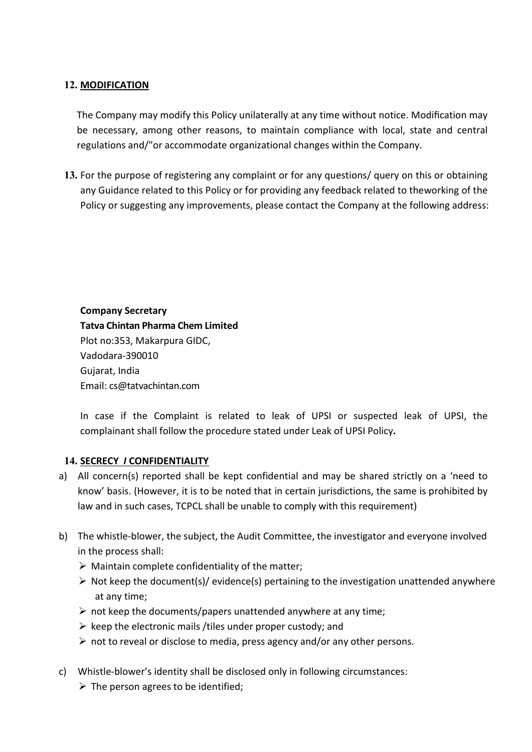# 12. MODIFICATION

**MODIFICATION**<br>The Company may modify this Policy unilaterally at any time without notice. Modification may<br>be necessary, among other reasons, to maintain compliance with local, state and central<br>regulations and/"or accomm **MODIFICATION**<br>The Company may modify this Policy unilaterally at any time without notice. Modification may<br>be necessary, among other reasons, to maintain compliance with local, state and central<br>regulations and/"or accomm

**MODIFICATION**<br>The Company may modify this Policy unilaterally at any time without notice. Modification may<br>be necessary, among other reasons, to maintain compliance with local, state and central<br>regulations and/"or accomm 12. **MODIFICATION**<br>
The Company may modify this Policy unilaterally at any time without notice. Modification may<br>
be necessary, among other reasons, to maintain compliance with local, state and central<br>
regulations and/"or **MODIFICATION**<br>The Company may modify this Policy unilaterally at any time without notice. Modification may<br>be necessary, among other reasons, to maintain compliance with local, state and central<br>egulations and/"or accommo **MODIFICATION**<br>The Company may modify this Policy unilaterally at any time without notice. Modification may<br>e necessary, among other reasons, to maintain compliance with local, state and central<br>egulations and/"or accommod The Company may modify this Policy unilaterally at any time without notice. No<br>e necessary, among other reasons, to maintain compliance with local, stegulations and/"or accommodate organizational changes within the Company The Company may modify this Policy unilaterally at any time without notice. Modification may<br>be necessary, among other reasons, to maintain compliance with local, state and central<br>egulations and/"or accommodate organizati Inc. company and interval units Foury units and the metally and the content of the constant of the percessary, among other reasons, to maintain compliance with local, state and centre<br>egulations and/"or accommodate organiz Explanations and y or accommiodate origanizational changes within the complain<br>
For the purpose of registering any complaint or for any questions/ query or<br>
any Guidance related to this Policy or for providing any feedback For the purpose of registering any complaint or for any questions/ query on th<br>any Guidance related to this Policy or for providing any feedback related to the<br>Policy or suggesting any improvements, please contact the Comp

Vadodara-390010 **In the Company Secretary**<br> **In case if the Company Secretary**<br> **In case if the Company Secretary<br>
<b>ITatva Chintan Pharma Chem Limited**<br>
Plot no:353, Makarpura GIDC,<br>
Vadodara-390010<br>
Gujarat, India<br>
In case if the Complai Company Secretary<br>
Company Secretary<br>
Tatva Chintan Pharma Chem Limited<br>
Plot no:353, Makarpura GIDC,<br>
Vadodara-390010<br>
Gujarat, India<br>
Email: cs@tatvachintan.com<br>
In case if the Complaint is related to leak of UPSI or sus

- **Company Secretary**<br> **Tatva Chintan Pharma Chem Limited**<br>
Plot no:353, Makarpura GIDC,<br>
Vadodara-390010<br>
Gujarat, India<br>
Email: cs@tatvachintan.com<br>
In case if the Complaint is related to leak of UPSI or suspected leak of **Company Secretary**<br> **Tatva Chintan Pharma Chem Limited**<br>
Plot no:353, Makarpura GIDC,<br>
Vadodara-390010<br>
Gujarat, India<br>
Email: cs@tatvachintan.com<br>
In case if the Complaint is related to leak of UPSI or suspected leak of **Company Secretary**<br> **Tatva Chitan Pharma Chem Limited**<br>
Plot no:353, Makarpura GIDC,<br>
Vadodara-390010<br>
Gujarat, India<br>
Email: cs@tatvachintan.com<br>
In case if the Complaint is related to leak of UPSI or suspected leak of U **COMPUTS THE WE THE SUBJECT THE SUBJECT THE SUBJECT THE SUBJECT THAT ALT THAT ALT THAT ALT EXECT UPS IN THAT EXECT THAT ALT EXECT THAT ALT ALT SUBJECT THAT AND INTERTATELLY A) All concern(s) reported shall be kept confiden** Flot no:353, Makapura GIDC,<br>Plot no:353, Makapura GIDC,<br>Vadodara-390010<br>Gujarat, India<br>Email: cs@tatvachintan.com<br>In case if the Complaint is related to leak of UPSI or suspected leak o<br>complainant shall follow the procedu Fuchium and the matter<br>
Wadodara-390010<br>
Vadodara-390010<br>
In case if the Complaint is related to leak of UPSI or suspected leak of UPSI, the<br>
complainant shall follow the procedure stated under Leak of UPSI Policy.<br>
SECREC **COLUTE:**<br> **Notionally Complaint in the Complaint is related to leak of UPSI or suspected leak of UPSI, the<br>
complainant shall follow the procedure stated under Leak of UPSI Policy,<br>
<b>SECRECY / CONFIDENTIALITY**<br>
All conce ation, muta<br>ail: cs@tatvachintan.com<br>case if the Complaint is related to leak of UPSI or suspected lea<br>pplainant shall follow the procedure stated under Leak of UPSI Policy.<br>**RECY / CONFIDENTIALITY**<br>concern(s) reported sha Linai: Esgetavachimantion<br>
In case if the Complaint is related to leak of UPSI or suspected leak of UPSI, the<br>
complainant shall follow the procedure stated under Leak of UPSI Policy.<br>
SECRECY I CONFIDENTIALITY<br>
All conce In case if the Complaint is related to leak of UPSI or suspected leak of UPSI, the complainant shall follow the procedure stated under Leak of UPSI Policy.<br>
SECRECY I CONFIDENTIALITY<br>
All concern(s) reported shall be kept In case in the Complemati is related to reack of the original conceptions of complainant shall follow the procedure stated under Leak of UPSI Policy.<br> **SECRECY I CONFIDENTIALITY**<br> **All concern(s) reported shall be kept con 14. <u>SECRECY / CONFIDENTIALITY</u>**<br>
a) All concern(s) reported shall be kept confidential and may be shared strictly on a 'need to<br>
know' basis. (However, it is to be noted that in certain jurisdictions, the same is prohib **Example:** The **Fronting and** the kept confidential and may be shared strictly on a 'need to know' basis. (However, it is to be noted that in certain jurisdictions, the same is prohibited by klaw and in such cases, TCPCL
- -
	-
	-
	-
	-
- -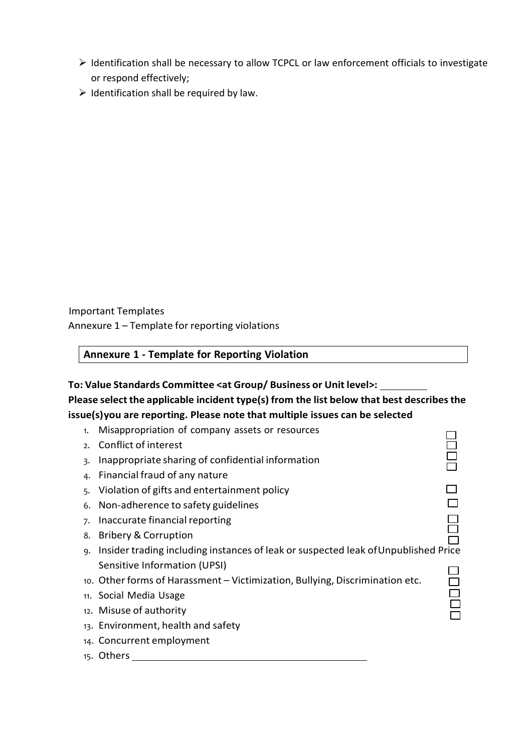- In Identification shall be necessary to allow TCPCL or law enforcement officials to investigate<br>
In Interval or respond effectively;<br>
Interval of the required by law. Identification shall be necessary to allow TCPCL or law enforcement officials to<br>or respond effectively;<br>Identification shall be required by law.  $\triangleright$  Identification shall be necessary to allow TCPCL or law enforcement officials to investigate<br>or respond effectively;<br> $\triangleright$  Identification shall be required by law.
- 

→ Identification shall be required by law.<br>Important Templates<br>Annexure 1 – Template for reporting violations<br>Annexure 1 - Template for Reporting Violation

| <b>Annexure 1 - Template for Reporting Violation</b> |
|------------------------------------------------------|
|------------------------------------------------------|

# Portant Templates<br>
Annexure 1 – Template for reporting violations<br>
Annexure 1 - Template for Reporting Violation<br>
Value Standards Committee <at Group/ Business or Unit level>:<br>
Sase select the applicable incident type(s) f |<br>| Important Templates<br>| Annexure 1 – Template for reporting violations<br>|<br>| To: Value Standards Committee <at Group/ Business or Unit level>: Important Templates<br>Annexure 1 – Template for reporting violations<br>To: Value Standards Committee <at Group/ Business or Unit level>:<br>Please select the applicable incident type(s) from the list below that best describes the Important Templates<br>Annexure 1 – Template for reporting violations<br>To: Value Standards Committee <at Group/ Business or Unit level>:<br>Please select the applicable incident type(s) from the list below that best describes the

- Important Templates<br>Annexure 1 Template for reporting violations<br>To: Value Standards Committee <at Group/ Business or Unit level>:<br>Please select the applicable incident type(s) from the list below that best describes the Contant Templates<br>
Sexure 1 – Template for reporting violations<br>
Annexure 1 - Template for Reporting Violation<br>
Value Standards Committee <at Group/ Business or Unit level>:<br>
Sexes select the applicable incident type(s) f Department Templates<br>
Department Template for reporting violations<br> **Annexure 1 - Template for Reporting Violation<br>
Value Standards Committee <at Group/ Business or Unit level>:<br>
ase select the applicable incident type(s)** sortant Templates<br>
sharing the Theorem Confidential informations<br>
Annexure 1 - Template for Reporting Violation<br>
Value Standards Committee <at Group/ Business or Unit level>:<br>
sase select the applicable incident type(s) f the members of any members of any members of any members of any members of any members of any nature of any nature of any nature of any nature of any nature  $\frac{1}{2}$  and  $\frac{1}{2}$  and  $\frac{1}{2}$  and  $\frac{1}{2}$  any nature Department Templates<br>
Annexure 1 – Template for reporting violations<br>
Value Standards Committee <at Group/ Business or Unit level>:<br>
Sase select the applicable incident type(s) from the list below that best describes the<br> oortant Templates<br>
exure 1 – Template for reporting violations<br>
Annexure 1 – Template for Reporting Violation<br>
Value Standards Committee <at Group/ Business or Unit level>:<br>
ase select the applicable incident type(s) from oortant Templates<br> **Annexure 1 – Template for reporting violations**<br> **Annexure 1 – Template for Reporting Violation**<br> **Value Standards Committee <at Group/ Business or Unit level>:**<br> **Sase select the applicable incident t** oriant Templates<br> **Annexure 1 - Template for reporting violations**<br> **Annexure 1 - Template for Reporting Violation**<br> **Value Standards Committee <at Group/ Business or Unit level>:**<br> **Lesse select the applicable incident ty Example 1 – Template for reporting violation**<br> **Value Standards Committee <at Group/ Business or Unit level>:**<br> **Sase select the applicable incident type(s) from the list below that best describes the<br>
ne(s)you are repor** nexure 1 - Template for Reporting Violation<br>
ue Standards Committee <at Group/ Business or Unit level>:<br>
select the applicable incident type(s) from the list below that best describes the<br>
you are reporting. Please note t Nalue Standards Committee <at Group/Business or Unit level>:<br>
asse select the applicable incident type(s) from the list below that best describes the<br>
e(s)you are reporting. Please note that multiple issues can be selecte Value Standards Committee <at Group/ Business or Unit level>:<br>
ase select the applicable incident type(s) from the list below that best describes<br>
ie(s)you are reporting. Please note that multiple issues can be selected<br>
1 value Summarce Sat Corollate Independent and Sole and Sole and Sole and Sole and Sole and Sole and Sole and Sole and Sole and Sole and Sole and Sole and Sole and Sole and Sole and Sole and Sole and Sole and Sole and Sole a **Exercise the plusion include in the safety in the safety and selected delse plyou are reporting. Please note that multiple issues can be selected**<br>
1. Misappropriation of company assets or resources<br>
2. Conflict of inter Exprement Company assets or resources and the selection<br>1. Misappropriation of company assets or resources<br>2. Conflict of interest<br>3. Inappropriate sharing of confidential information<br>4. Financial fraud of any nature<br>5. Vi
	-
	- 15. Others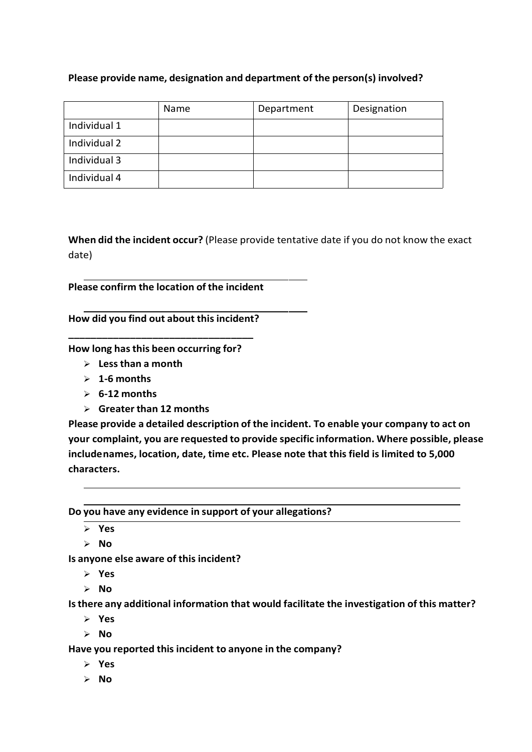|                                             |                               | Please provide name, designation and department of the person(s) involved?               |             |
|---------------------------------------------|-------------------------------|------------------------------------------------------------------------------------------|-------------|
|                                             | Name                          | Department                                                                               | Designation |
| Individual 1                                |                               |                                                                                          |             |
| Individual 2                                |                               |                                                                                          |             |
| Individual 3                                |                               |                                                                                          |             |
| Individual 4                                |                               |                                                                                          |             |
|                                             |                               |                                                                                          |             |
|                                             |                               |                                                                                          |             |
|                                             |                               |                                                                                          |             |
|                                             |                               | When did the incident occur? (Please provide tentative date if you do not know the exact |             |
| date)                                       |                               |                                                                                          |             |
| Please confirm the location of the incident |                               |                                                                                          |             |
|                                             |                               |                                                                                          |             |
| How did you find out about this incident?   |                               |                                                                                          |             |
|                                             |                               |                                                                                          |             |
| How long has this been occurring for?       |                               |                                                                                          |             |
| $\triangleright$ Less than a month          |                               |                                                                                          |             |
| 1-6 months<br>➤                             |                               |                                                                                          |             |
|                                             |                               |                                                                                          |             |
| 6-12 months<br>≻                            |                               |                                                                                          |             |
| $\blacktriangleright$                       | <b>Greater than 12 months</b> | Please provide a detailed description of the incident. To enable your company to act on  |             |

- 
- 
- 
- 

ividual 4<br>
en did the incident occur? (Please provide tentative date if you do not kn<br>
e)<br>
ase confirm the location of the incident<br>
w did you find out about this incident?<br>
w long has this been occurring for?<br>
> Les than en did the incident occur? (Please provide tentative date if you do not know the exacted<br>
e)<br>
ase confirm the location of the incident<br>
whid you find out about this incident?<br>
whong has this been occurring for?<br>
> Less tha When did the incident occur? (Please provide tentative date if you do not know the exact<br>
date)<br>
Please confirm the location of the incident<br>
How did you find out about this incident?<br>  $\begin{array}{l} \star \star \star \star \star \star \star \star \star \star \star \star \star \star$ When did the incident occur? (Please provide tentative date if you do not know the exact<br>
date)<br>
Please confirm the location of the incident<br>
How did you find out about this incident?<br>  $\begin{array}{l} \star \star \star \star \star \star \star \star \star \star \star \star \star \star$ When did the incident occur? (Please provide tentative date if you do not know the exact<br>date)<br>Please confirm the location of the incident?<br>How did you find out about this incident?<br>How long has this been occurring for?<br>> characters. Providing the station of the includent<br>
How long has this been occurring for?<br>  $\ge$  Less than a months<br>  $\ge$  Less than a months<br>  $\ge$  Less than any order of the includent. To enable your company to act on<br>
your complaint, Is anyone else aware of this incident?<br>
Is a strongen and formulation of the incident. To enable your company to act on<br>
your complaint, you are requested to provide specific information. Where possible, please<br>
includenam Fractional information of the incident. To enable your company to act on<br>
Please provide a detailed description of the incident. To enable your company to act on<br>
your complaint, you are requested to provide specific inf Freake provide a decision of the initial time initial to anyone of the company of the possible, please<br>includenames, location, date, time etc. Please note that this field is limited to 5,000<br>characters.<br>Do you have any ev

Yes

- Yes
- $\triangleright$  No  $\blacksquare$

- $\triangleright$  Yes
- $>$  No

- Yes
- $\triangleright$  No

 $\triangleright$  No  $\blacksquare$